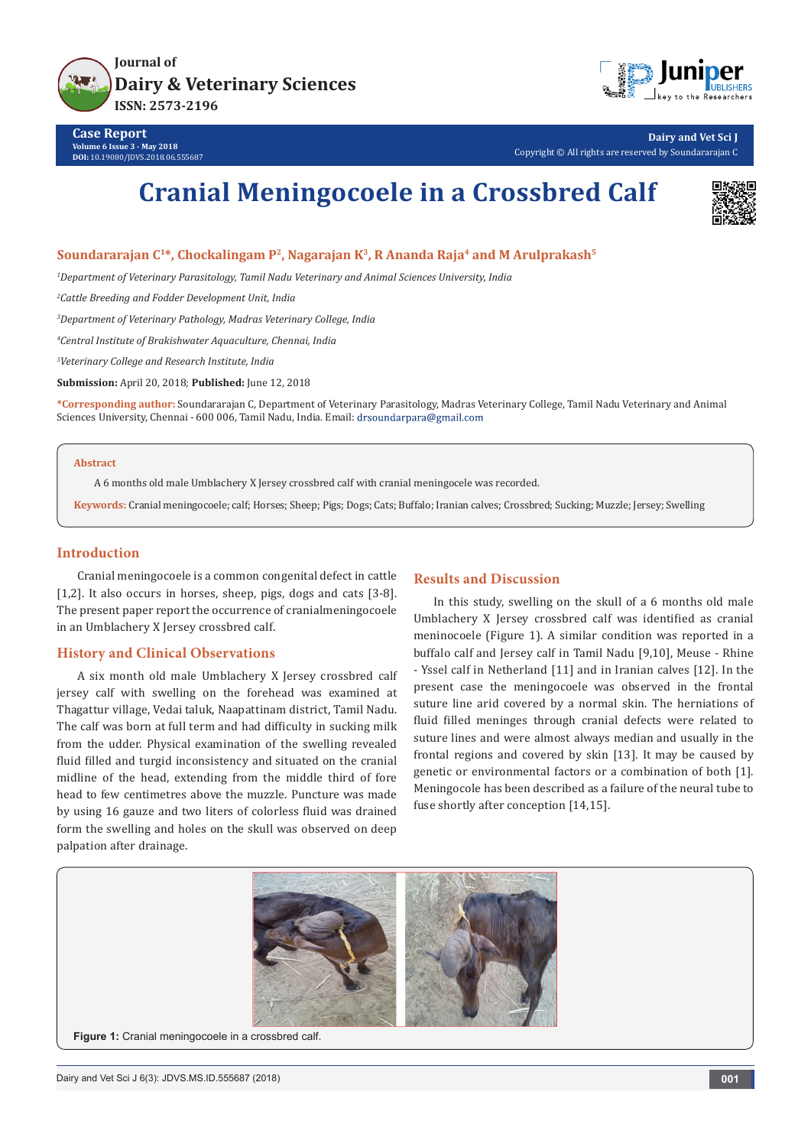



**Dairy and Vet Sci J** Copyright © All rights are reserved by Soundararajan C

# **Cranial Meningocoele in a Crossbred Calf**



### Soundararajan C<sup>1\*</sup>, Chockalingam P<sup>2</sup>, Nagarajan K<sup>3</sup>, R Ananda Raja<sup>4</sup> and M Arulprakash<sup>5</sup>

*1 Department of Veterinary Parasitology, Tamil Nadu Veterinary and Animal Sciences University, India* 

*2 Cattle Breeding and Fodder Development Unit, India*

*3 Department of Veterinary Pathology, Madras Veterinary College, India*

*4 Central Institute of Brakishwater Aquaculture, Chennai, India*

*5 Veterinary College and Research Institute, India*

**Submission:** April 20, 2018; **Published:** June 12, 2018

**\*Corresponding author:** Soundararajan C, Department of Veterinary Parasitology, Madras Veterinary College, Tamil Nadu Veterinary and Animal Sciences University, Chennai - 600 006, Tamil Nadu, India. Email: drsoundarpara@gmail.com

#### **Abstract**

A 6 months old male Umblachery X Jersey crossbred calf with cranial meningocele was recorded.

**Keywords:** Cranial meningocoele; calf; Horses; Sheep; Pigs; Dogs; Cats; Buffalo; Iranian calves; Crossbred; Sucking; Muzzle; Jersey; Swelling

#### **Introduction**

Cranial meningocoele is a common congenital defect in cattle [1,2]. It also occurs in horses, sheep, pigs, dogs and cats [3-8]. The present paper report the occurrence of cranialmeningocoele in an Umblachery X Jersey crossbred calf.

### **History and Clinical Observations**

A six month old male Umblachery X Jersey crossbred calf jersey calf with swelling on the forehead was examined at Thagattur village, Vedai taluk, Naapattinam district, Tamil Nadu. The calf was born at full term and had difficulty in sucking milk from the udder. Physical examination of the swelling revealed fluid filled and turgid inconsistency and situated on the cranial midline of the head, extending from the middle third of fore head to few centimetres above the muzzle. Puncture was made by using 16 gauze and two liters of colorless fluid was drained form the swelling and holes on the skull was observed on deep palpation after drainage.

#### **Results and Discussion**

In this study, swelling on the skull of a 6 months old male Umblachery X Jersey crossbred calf was identified as cranial meninocoele (Figure 1). A similar condition was reported in a buffalo calf and Jersey calf in Tamil Nadu [9,10], Meuse - Rhine - Yssel calf in Netherland [11] and in Iranian calves [12]. In the present case the meningocoele was observed in the frontal suture line arid covered by a normal skin. The herniations of fluid filled meninges through cranial defects were related to suture lines and were almost always median and usually in the frontal regions and covered by skin [13]. It may be caused by genetic or environmental factors or a combination of both [1]. Meningocole has been described as a failure of the neural tube to fuse shortly after conception [14,15].